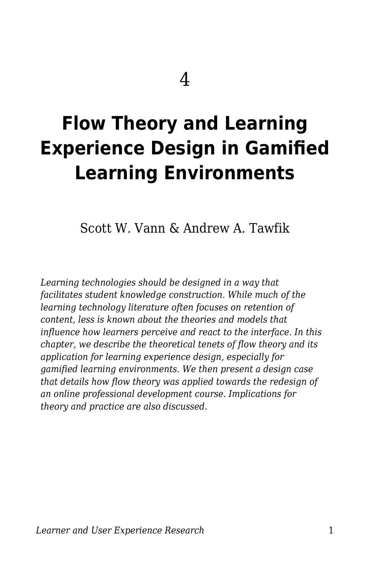# **Flow Theory and Learning Experience Design in Gamified Learning Environments**

Scott W. Vann & Andrew A. Tawfik

*Learning technologies should be designed in a way that facilitates student knowledge construction. While much of the learning technology literature often focuses on retention of content, less is known about the theories and models that influence how learners perceive and react to the interface. In this chapter, we describe the theoretical tenets of flow theory and its application for learning experience design, especially for gamified learning environments. We then present a design case that details how flow theory was applied towards the redesign of an online professional development course. Implications for theory and practice are also discussed.*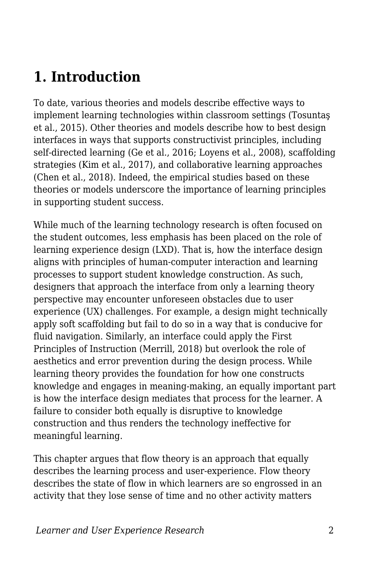## **1. Introduction**

To date, various theories and models describe effective ways to implement learning technologies within classroom settings (Tosuntaş et al., 2015). Other theories and models describe how to best design interfaces in ways that supports constructivist principles, including self-directed learning (Ge et al., 2016; Loyens et al., 2008), scaffolding strategies (Kim et al., 2017), and collaborative learning approaches (Chen et al., 2018). Indeed, the empirical studies based on these theories or models underscore the importance of learning principles in supporting student success.

While much of the learning technology research is often focused on the student outcomes, less emphasis has been placed on the role of learning experience design (LXD). That is, how the interface design aligns with principles of human-computer interaction and learning processes to support student knowledge construction. As such, designers that approach the interface from only a learning theory perspective may encounter unforeseen obstacles due to user experience (UX) challenges. For example, a design might technically apply soft scaffolding but fail to do so in a way that is conducive for fluid navigation. Similarly, an interface could apply the First Principles of Instruction (Merrill, 2018) but overlook the role of aesthetics and error prevention during the design process. While learning theory provides the foundation for how one constructs knowledge and engages in meaning-making, an equally important part is how the interface design mediates that process for the learner. A failure to consider both equally is disruptive to knowledge construction and thus renders the technology ineffective for meaningful learning.

This chapter argues that flow theory is an approach that equally describes the learning process and user-experience. Flow theory describes the state of flow in which learners are so engrossed in an activity that they lose sense of time and no other activity matters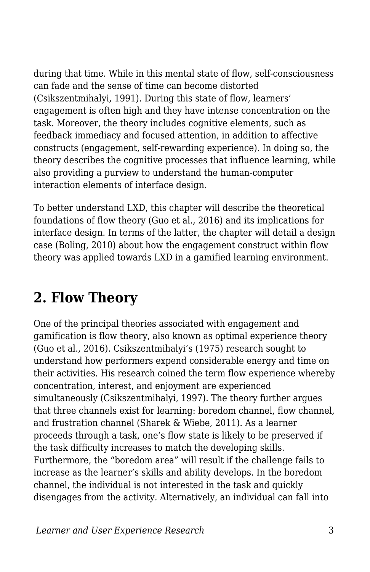during that time. While in this mental state of flow, self-consciousness can fade and the sense of time can become distorted (Csikszentmihalyi, 1991). During this state of flow, learners' engagement is often high and they have intense concentration on the task. Moreover, the theory includes cognitive elements, such as feedback immediacy and focused attention, in addition to affective constructs (engagement, self-rewarding experience). In doing so, the theory describes the cognitive processes that influence learning, while also providing a purview to understand the human-computer interaction elements of interface design.

To better understand LXD, this chapter will describe the theoretical foundations of flow theory (Guo et al., 2016) and its implications for interface design. In terms of the latter, the chapter will detail a design case (Boling, 2010) about how the engagement construct within flow theory was applied towards LXD in a gamified learning environment.

## **2. Flow Theory**

One of the principal theories associated with engagement and gamification is flow theory, also known as optimal experience theory (Guo et al., 2016). Csikszentmihalyi's (1975) research sought to understand how performers expend considerable energy and time on their activities. His research coined the term flow experience whereby concentration, interest, and enjoyment are experienced simultaneously (Csikszentmihalyi, 1997). The theory further argues that three channels exist for learning: boredom channel, flow channel, and frustration channel (Sharek & Wiebe, 2011). As a learner proceeds through a task, one's flow state is likely to be preserved if the task difficulty increases to match the developing skills. Furthermore, the "boredom area" will result if the challenge fails to increase as the learner's skills and ability develops. In the boredom channel, the individual is not interested in the task and quickly disengages from the activity. Alternatively, an individual can fall into

*Learner and User Experience Research* 3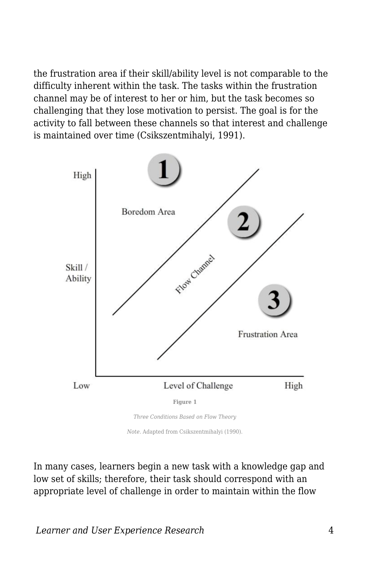the frustration area if their skill/ability level is not comparable to the difficulty inherent within the task. The tasks within the frustration channel may be of interest to her or him, but the task becomes so challenging that they lose motivation to persist. The goal is for the activity to fall between these channels so that interest and challenge is maintained over time (Csikszentmihalyi, 1991).



*Note*. Adapted from Csikszentmihalyi (1990).

In many cases, learners begin a new task with a knowledge gap and low set of skills; therefore, their task should correspond with an appropriate level of challenge in order to maintain within the flow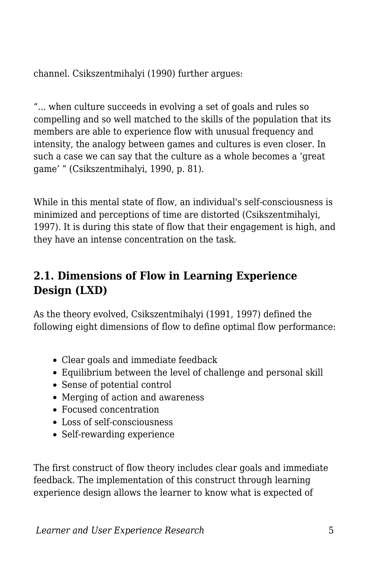channel. Csikszentmihalyi (1990) further argues:

"... when culture succeeds in evolving a set of goals and rules so compelling and so well matched to the skills of the population that its members are able to experience flow with unusual frequency and intensity, the analogy between games and cultures is even closer. In such a case we can say that the culture as a whole becomes a 'great game' " (Csikszentmihalyi, 1990, p. 81).

While in this mental state of flow, an individual's self-consciousness is minimized and perceptions of time are distorted (Csikszentmihalyi, 1997). It is during this state of flow that their engagement is high, and they have an intense concentration on the task.

#### **2.1. Dimensions of Flow in Learning Experience Design (LXD)**

As the theory evolved, Csikszentmihalyi (1991, 1997) defined the following eight dimensions of flow to define optimal flow performance:

- Clear goals and immediate feedback
- Equilibrium between the level of challenge and personal skill
- Sense of potential control
- Merging of action and awareness
- Focused concentration
- Loss of self-consciousness
- Self-rewarding experience

The first construct of flow theory includes clear goals and immediate feedback. The implementation of this construct through learning experience design allows the learner to know what is expected of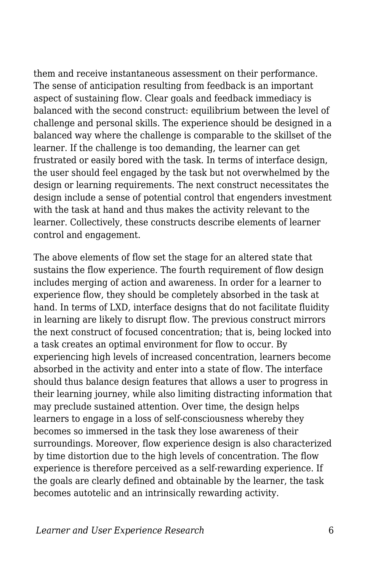them and receive instantaneous assessment on their performance. The sense of anticipation resulting from feedback is an important aspect of sustaining flow. Clear goals and feedback immediacy is balanced with the second construct: equilibrium between the level of challenge and personal skills. The experience should be designed in a balanced way where the challenge is comparable to the skillset of the learner. If the challenge is too demanding, the learner can get frustrated or easily bored with the task. In terms of interface design, the user should feel engaged by the task but not overwhelmed by the design or learning requirements. The next construct necessitates the design include a sense of potential control that engenders investment with the task at hand and thus makes the activity relevant to the learner. Collectively, these constructs describe elements of learner control and engagement.

The above elements of flow set the stage for an altered state that sustains the flow experience. The fourth requirement of flow design includes merging of action and awareness. In order for a learner to experience flow, they should be completely absorbed in the task at hand. In terms of LXD, interface designs that do not facilitate fluidity in learning are likely to disrupt flow. The previous construct mirrors the next construct of focused concentration; that is, being locked into a task creates an optimal environment for flow to occur. By experiencing high levels of increased concentration, learners become absorbed in the activity and enter into a state of flow. The interface should thus balance design features that allows a user to progress in their learning journey, while also limiting distracting information that may preclude sustained attention. Over time, the design helps learners to engage in a loss of self-consciousness whereby they becomes so immersed in the task they lose awareness of their surroundings. Moreover, flow experience design is also characterized by time distortion due to the high levels of concentration. The flow experience is therefore perceived as a self-rewarding experience. If the goals are clearly defined and obtainable by the learner, the task becomes autotelic and an intrinsically rewarding activity.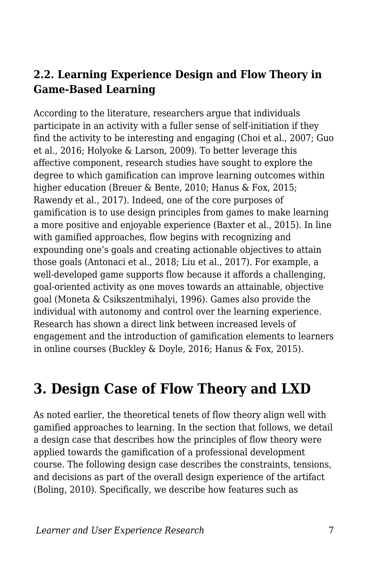#### **2.2. Learning Experience Design and Flow Theory in Game-Based Learning**

According to the literature, researchers argue that individuals participate in an activity with a fuller sense of self-initiation if they find the activity to be interesting and engaging (Choi et al., 2007; Guo et al., 2016; Holyoke & Larson, 2009). To better leverage this affective component, research studies have sought to explore the degree to which gamification can improve learning outcomes within higher education (Breuer & Bente, 2010; Hanus & Fox, 2015; Rawendy et al., 2017). Indeed, one of the core purposes of gamification is to use design principles from games to make learning a more positive and enjoyable experience (Baxter et al., 2015). In line with gamified approaches, flow begins with recognizing and expounding one's goals and creating actionable objectives to attain those goals (Antonaci et al., 2018; Liu et al., 2017). For example, a well-developed game supports flow because it affords a challenging, goal-oriented activity as one moves towards an attainable, objective goal (Moneta & Csikszentmihalyi, 1996). Games also provide the individual with autonomy and control over the learning experience. Research has shown a direct link between increased levels of engagement and the introduction of gamification elements to learners in online courses (Buckley & Doyle, 2016; Hanus & Fox, 2015).

### **3. Design Case of Flow Theory and LXD**

As noted earlier, the theoretical tenets of flow theory align well with gamified approaches to learning. In the section that follows, we detail a design case that describes how the principles of flow theory were applied towards the gamification of a professional development course. The following design case describes the constraints, tensions, and decisions as part of the overall design experience of the artifact (Boling, 2010). Specifically, we describe how features such as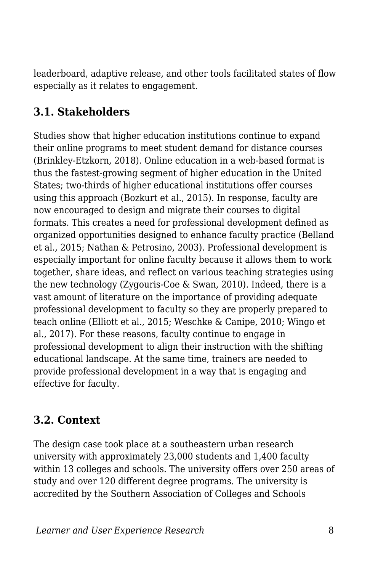leaderboard, adaptive release, and other tools facilitated states of flow especially as it relates to engagement.

#### **3.1. Stakeholders**

Studies show that higher education institutions continue to expand their online programs to meet student demand for distance courses (Brinkley-Etzkorn, 2018). Online education in a web-based format is thus the fastest-growing segment of higher education in the United States; two-thirds of higher educational institutions offer courses using this approach (Bozkurt et al., 2015). In response, faculty are now encouraged to design and migrate their courses to digital formats. This creates a need for professional development defined as organized opportunities designed to enhance faculty practice (Belland et al., 2015; Nathan & Petrosino, 2003). Professional development is especially important for online faculty because it allows them to work together, share ideas, and reflect on various teaching strategies using the new technology (Zygouris-Coe & Swan, 2010). Indeed, there is a vast amount of literature on the importance of providing adequate professional development to faculty so they are properly prepared to teach online (Elliott et al., 2015; Weschke & Canipe, 2010; Wingo et al., 2017). For these reasons, faculty continue to engage in professional development to align their instruction with the shifting educational landscape. At the same time, trainers are needed to provide professional development in a way that is engaging and effective for faculty.

#### **3.2. Context**

The design case took place at a southeastern urban research university with approximately 23,000 students and 1,400 faculty within 13 colleges and schools. The university offers over 250 areas of study and over 120 different degree programs. The university is accredited by the Southern Association of Colleges and Schools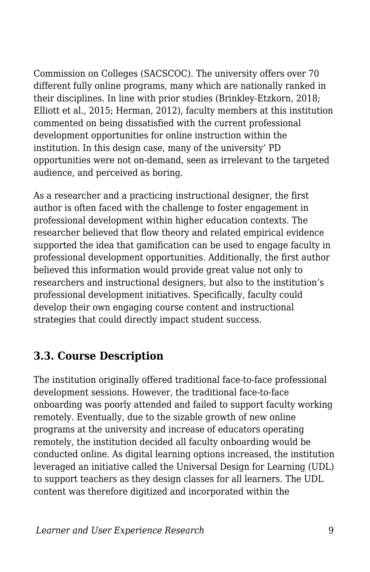Commission on Colleges (SACSCOC). The university offers over 70 different fully online programs, many which are nationally ranked in their disciplines. In line with prior studies (Brinkley-Etzkorn, 2018; Elliott et al., 2015; Herman, 2012), faculty members at this institution commented on being dissatisfied with the current professional development opportunities for online instruction within the institution. In this design case, many of the university' PD opportunities were not on-demand, seen as irrelevant to the targeted audience, and perceived as boring.

As a researcher and a practicing instructional designer, the first author is often faced with the challenge to foster engagement in professional development within higher education contexts. The researcher believed that flow theory and related empirical evidence supported the idea that gamification can be used to engage faculty in professional development opportunities. Additionally, the first author believed this information would provide great value not only to researchers and instructional designers, but also to the institution's professional development initiatives. Specifically, faculty could develop their own engaging course content and instructional strategies that could directly impact student success.

#### **3.3. Course Description**

The institution originally offered traditional face-to-face professional development sessions. However, the traditional face-to-face onboarding was poorly attended and failed to support faculty working remotely. Eventually, due to the sizable growth of new online programs at the university and increase of educators operating remotely, the institution decided all faculty onboarding would be conducted online. As digital learning options increased, the institution leveraged an initiative called the Universal Design for Learning (UDL) to support teachers as they design classes for all learners. The UDL content was therefore digitized and incorporated within the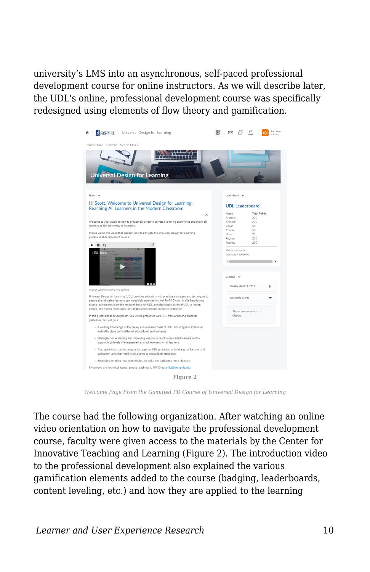university's LMS into an asynchronous, self-paced professional development course for online instructors. As we will describe later, the UDL's online, professional development course was specifically redesigned using elements of flow theory and gamification.



*Welcome Page From the Gamified PD Course of Universal Design for Learning*

The course had the following organization. After watching an online video orientation on how to navigate the professional development course, faculty were given access to the materials by the Center for Innovative Teaching and Learning (Figure 2). The introduction video to the professional development also explained the various gamification elements added to the course (badging, leaderboards, content leveling, etc.) and how they are applied to the learning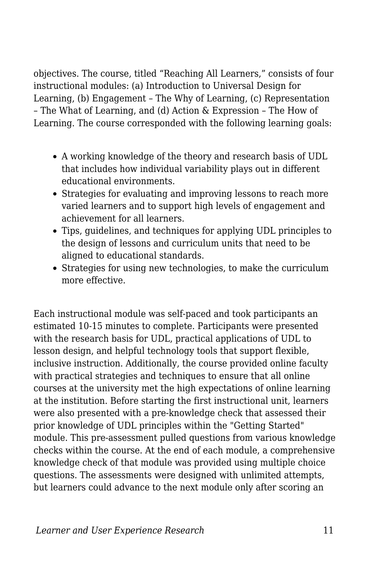objectives. The course, titled "Reaching All Learners," consists of four instructional modules: (a) Introduction to Universal Design for Learning, (b) Engagement – The Why of Learning, (c) Representation – The What of Learning, and (d) Action & Expression – The How of Learning. The course corresponded with the following learning goals:

- A working knowledge of the theory and research basis of UDL that includes how individual variability plays out in different educational environments.
- Strategies for evaluating and improving lessons to reach more varied learners and to support high levels of engagement and achievement for all learners.
- Tips, guidelines, and techniques for applying UDL principles to the design of lessons and curriculum units that need to be aligned to educational standards.
- Strategies for using new technologies, to make the curriculum more effective.

Each instructional module was self-paced and took participants an estimated 10-15 minutes to complete. Participants were presented with the research basis for UDL, practical applications of UDL to lesson design, and helpful technology tools that support flexible, inclusive instruction. Additionally, the course provided online faculty with practical strategies and techniques to ensure that all online courses at the university met the high expectations of online learning at the institution. Before starting the first instructional unit, learners were also presented with a pre-knowledge check that assessed their prior knowledge of UDL principles within the "Getting Started" module. This pre-assessment pulled questions from various knowledge checks within the course. At the end of each module, a comprehensive knowledge check of that module was provided using multiple choice questions. The assessments were designed with unlimited attempts, but learners could advance to the next module only after scoring an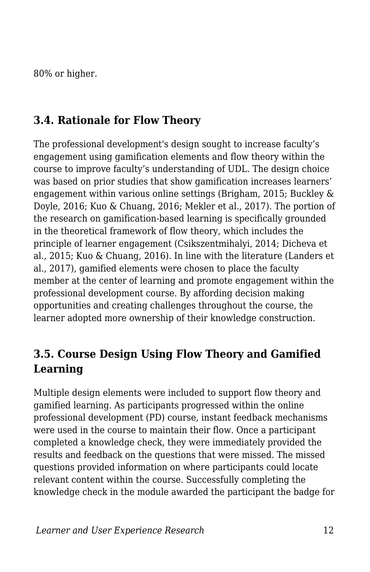80% or higher.

#### **3.4. Rationale for Flow Theory**

The professional development's design sought to increase faculty's engagement using gamification elements and flow theory within the course to improve faculty's understanding of UDL. The design choice was based on prior studies that show gamification increases learners' engagement within various online settings (Brigham, 2015; Buckley & Doyle, 2016; Kuo & Chuang, 2016; Mekler et al., 2017). The portion of the research on gamification-based learning is specifically grounded in the theoretical framework of flow theory, which includes the principle of learner engagement (Csikszentmihalyi, 2014; Dicheva et al., 2015; Kuo & Chuang, 2016). In line with the literature (Landers et al., 2017), gamified elements were chosen to place the faculty member at the center of learning and promote engagement within the professional development course. By affording decision making opportunities and creating challenges throughout the course, the learner adopted more ownership of their knowledge construction.

#### **3.5. Course Design Using Flow Theory and Gamified Learning**

Multiple design elements were included to support flow theory and gamified learning. As participants progressed within the online professional development (PD) course, instant feedback mechanisms were used in the course to maintain their flow. Once a participant completed a knowledge check, they were immediately provided the results and feedback on the questions that were missed. The missed questions provided information on where participants could locate relevant content within the course. Successfully completing the knowledge check in the module awarded the participant the badge for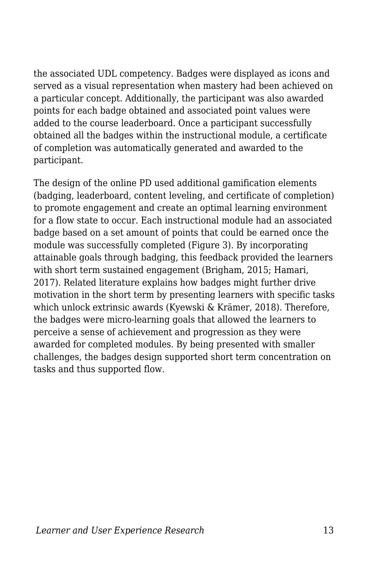the associated UDL competency. Badges were displayed as icons and served as a visual representation when mastery had been achieved on a particular concept. Additionally, the participant was also awarded points for each badge obtained and associated point values were added to the course leaderboard. Once a participant successfully obtained all the badges within the instructional module, a certificate of completion was automatically generated and awarded to the participant.

The design of the online PD used additional gamification elements (badging, leaderboard, content leveling, and certificate of completion) to promote engagement and create an optimal learning environment for a flow state to occur. Each instructional module had an associated badge based on a set amount of points that could be earned once the module was successfully completed (Figure 3). By incorporating attainable goals through badging, this feedback provided the learners with short term sustained engagement (Brigham, 2015; Hamari, 2017). Related literature explains how badges might further drive motivation in the short term by presenting learners with specific tasks which unlock extrinsic awards (Kyewski & Krämer, 2018). Therefore, the badges were micro-learning goals that allowed the learners to perceive a sense of achievement and progression as they were awarded for completed modules. By being presented with smaller challenges, the badges design supported short term concentration on tasks and thus supported flow.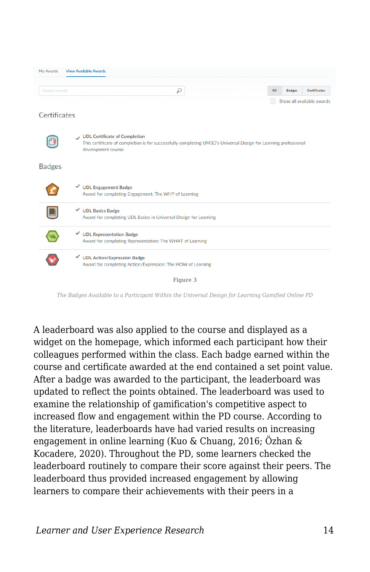| My Awards           | <b>View Available Awards</b>                                                                                                                                            |     |               |                           |
|---------------------|-------------------------------------------------------------------------------------------------------------------------------------------------------------------------|-----|---------------|---------------------------|
| Search awards       | ρ                                                                                                                                                                       | All | <b>Badges</b> | <b>Certificates</b>       |
| <b>Certificates</b> |                                                                                                                                                                         |     |               | Show all available awards |
|                     | UDL Certificate of Completion<br>This certificate of completion is for successfully completing UM3D's Universal Design for Learning professional<br>development course. |     |               |                           |
| <b>Badges</b>       |                                                                                                                                                                         |     |               |                           |
|                     | <b>√</b> UDL Engagement Badge<br>Award for completing Engagement: The WHY of Learning                                                                                   |     |               |                           |
|                     | $\checkmark$ UDL Basics Badge<br>Award for completing UDL Basics in Universal Design for Learning                                                                       |     |               |                           |
|                     | <b>UDL Representation Badge</b><br>✓<br>Award for completing Representation: The WHAT of Learning                                                                       |     |               |                           |
|                     | <b>√</b> UDL Action/Expression Badge<br>Award for completing Action/Expression: The HOW of Learning                                                                     |     |               |                           |
|                     | Figure 3                                                                                                                                                                |     |               |                           |

*The Badges Available to a Participant Within the Universal Design for Learning Gamified Online PD*

A leaderboard was also applied to the course and displayed as a widget on the homepage, which informed each participant how their colleagues performed within the class. Each badge earned within the course and certificate awarded at the end contained a set point value. After a badge was awarded to the participant, the leaderboard was updated to reflect the points obtained. The leaderboard was used to examine the relationship of gamification's competitive aspect to increased flow and engagement within the PD course. According to the literature, leaderboards have had varied results on increasing engagement in online learning (Kuo & Chuang, 2016; Özhan & Kocadere, 2020). Throughout the PD, some learners checked the leaderboard routinely to compare their score against their peers. The leaderboard thus provided increased engagement by allowing learners to compare their achievements with their peers in a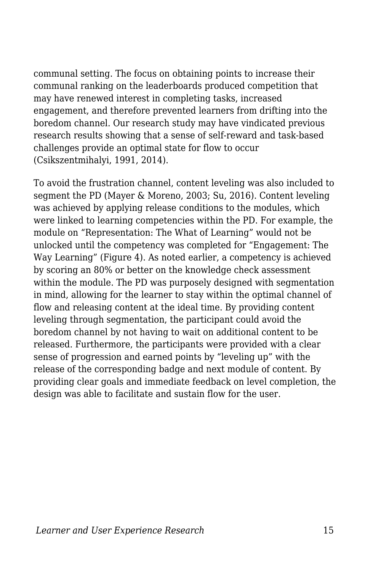communal setting. The focus on obtaining points to increase their communal ranking on the leaderboards produced competition that may have renewed interest in completing tasks, increased engagement, and therefore prevented learners from drifting into the boredom channel. Our research study may have vindicated previous research results showing that a sense of self-reward and task-based challenges provide an optimal state for flow to occur (Csikszentmihalyi, 1991, 2014).

To avoid the frustration channel, content leveling was also included to segment the PD (Mayer & Moreno, 2003; Su, 2016). Content leveling was achieved by applying release conditions to the modules, which were linked to learning competencies within the PD. For example, the module on "Representation: The What of Learning" would not be unlocked until the competency was completed for "Engagement: The Way Learning" (Figure 4). As noted earlier, a competency is achieved by scoring an 80% or better on the knowledge check assessment within the module. The PD was purposely designed with segmentation in mind, allowing for the learner to stay within the optimal channel of flow and releasing content at the ideal time. By providing content leveling through segmentation, the participant could avoid the boredom channel by not having to wait on additional content to be released. Furthermore, the participants were provided with a clear sense of progression and earned points by "leveling up" with the release of the corresponding badge and next module of content. By providing clear goals and immediate feedback on level completion, the design was able to facilitate and sustain flow for the user.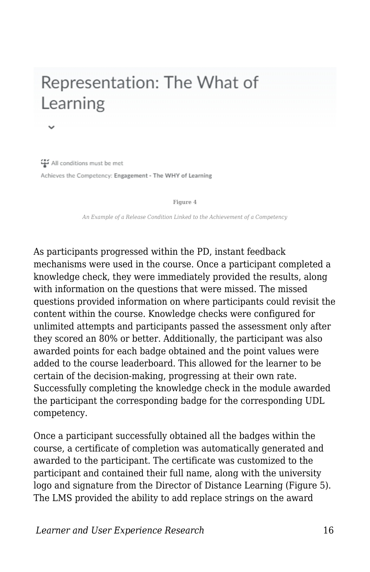## Representation: The What of Learning

All conditions must be met Achieves the Competency: Engagement - The WHY of Learning

**Figure 4**

*An Example of a Release Condition Linked to the Achievement of a Competency*

As participants progressed within the PD, instant feedback mechanisms were used in the course. Once a participant completed a knowledge check, they were immediately provided the results, along with information on the questions that were missed. The missed questions provided information on where participants could revisit the content within the course. Knowledge checks were configured for unlimited attempts and participants passed the assessment only after they scored an 80% or better. Additionally, the participant was also awarded points for each badge obtained and the point values were added to the course leaderboard. This allowed for the learner to be certain of the decision-making, progressing at their own rate. Successfully completing the knowledge check in the module awarded the participant the corresponding badge for the corresponding UDL competency.

Once a participant successfully obtained all the badges within the course, a certificate of completion was automatically generated and awarded to the participant. The certificate was customized to the participant and contained their full name, along with the university logo and signature from the Director of Distance Learning (Figure 5). The LMS provided the ability to add replace strings on the award

*Learner and User Experience Research* 16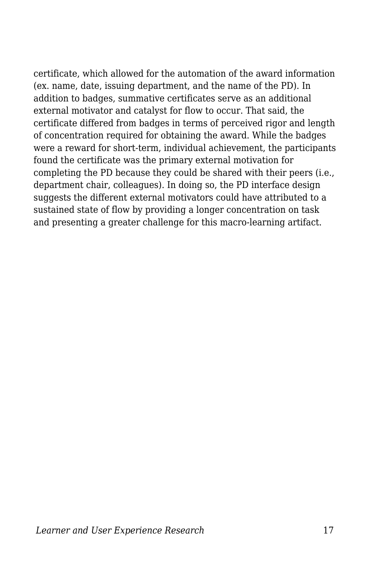certificate, which allowed for the automation of the award information (ex. name, date, issuing department, and the name of the PD). In addition to badges, summative certificates serve as an additional external motivator and catalyst for flow to occur. That said, the certificate differed from badges in terms of perceived rigor and length of concentration required for obtaining the award. While the badges were a reward for short-term, individual achievement, the participants found the certificate was the primary external motivation for completing the PD because they could be shared with their peers (i.e., department chair, colleagues). In doing so, the PD interface design suggests the different external motivators could have attributed to a sustained state of flow by providing a longer concentration on task and presenting a greater challenge for this macro-learning artifact.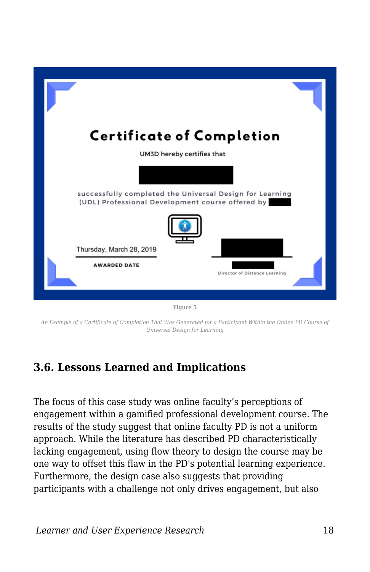

**Figure 5**

*An Example of a Certificate of Completion That Was Generated for a Participant Within the Online PD Course of Universal Design for Learning*

#### **3.6. Lessons Learned and Implications**

The focus of this case study was online faculty's perceptions of engagement within a gamified professional development course. The results of the study suggest that online faculty PD is not a uniform approach. While the literature has described PD characteristically lacking engagement, using flow theory to design the course may be one way to offset this flaw in the PD's potential learning experience. Furthermore, the design case also suggests that providing participants with a challenge not only drives engagement, but also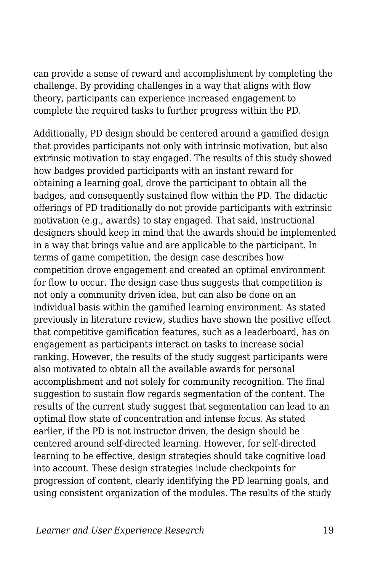can provide a sense of reward and accomplishment by completing the challenge. By providing challenges in a way that aligns with flow theory, participants can experience increased engagement to complete the required tasks to further progress within the PD.

Additionally, PD design should be centered around a gamified design that provides participants not only with intrinsic motivation, but also extrinsic motivation to stay engaged. The results of this study showed how badges provided participants with an instant reward for obtaining a learning goal, drove the participant to obtain all the badges, and consequently sustained flow within the PD. The didactic offerings of PD traditionally do not provide participants with extrinsic motivation (e.g., awards) to stay engaged. That said, instructional designers should keep in mind that the awards should be implemented in a way that brings value and are applicable to the participant. In terms of game competition, the design case describes how competition drove engagement and created an optimal environment for flow to occur. The design case thus suggests that competition is not only a community driven idea, but can also be done on an individual basis within the gamified learning environment. As stated previously in literature review, studies have shown the positive effect that competitive gamification features, such as a leaderboard, has on engagement as participants interact on tasks to increase social ranking. However, the results of the study suggest participants were also motivated to obtain all the available awards for personal accomplishment and not solely for community recognition. The final suggestion to sustain flow regards segmentation of the content. The results of the current study suggest that segmentation can lead to an optimal flow state of concentration and intense focus. As stated earlier, if the PD is not instructor driven, the design should be centered around self-directed learning. However, for self-directed learning to be effective, design strategies should take cognitive load into account. These design strategies include checkpoints for progression of content, clearly identifying the PD learning goals, and using consistent organization of the modules. The results of the study

*Learner and User Experience Research* 19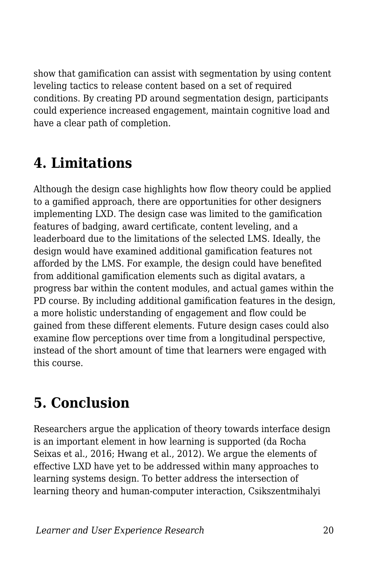show that gamification can assist with segmentation by using content leveling tactics to release content based on a set of required conditions. By creating PD around segmentation design, participants could experience increased engagement, maintain cognitive load and have a clear path of completion.

## **4. Limitations**

Although the design case highlights how flow theory could be applied to a gamified approach, there are opportunities for other designers implementing LXD. The design case was limited to the gamification features of badging, award certificate, content leveling, and a leaderboard due to the limitations of the selected LMS. Ideally, the design would have examined additional gamification features not afforded by the LMS. For example, the design could have benefited from additional gamification elements such as digital avatars, a progress bar within the content modules, and actual games within the PD course. By including additional gamification features in the design, a more holistic understanding of engagement and flow could be gained from these different elements. Future design cases could also examine flow perceptions over time from a longitudinal perspective, instead of the short amount of time that learners were engaged with this course.

## **5. Conclusion**

Researchers argue the application of theory towards interface design is an important element in how learning is supported (da Rocha Seixas et al., 2016; Hwang et al., 2012). We argue the elements of effective LXD have yet to be addressed within many approaches to learning systems design. To better address the intersection of learning theory and human-computer interaction, Csikszentmihalyi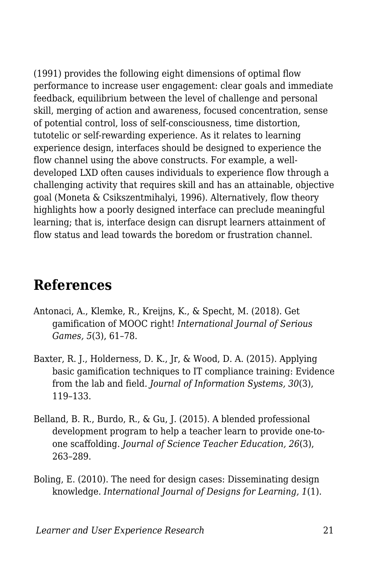(1991) provides the following eight dimensions of optimal flow performance to increase user engagement: clear goals and immediate feedback, equilibrium between the level of challenge and personal skill, merging of action and awareness, focused concentration, sense of potential control, loss of self-consciousness, time distortion, tutotelic or self-rewarding experience. As it relates to learning experience design, interfaces should be designed to experience the flow channel using the above constructs. For example, a welldeveloped LXD often causes individuals to experience flow through a challenging activity that requires skill and has an attainable, objective goal (Moneta & Csikszentmihalyi, 1996). Alternatively, flow theory highlights how a poorly designed interface can preclude meaningful learning; that is, interface design can disrupt learners attainment of flow status and lead towards the boredom or frustration channel.

### **References**

- Antonaci, A., Klemke, R., Kreijns, K., & Specht, M. (2018). Get gamification of MOOC right! *International Journal of Serious Games, 5*(3), 61–78.
- Baxter, R. J., Holderness, D. K., Jr, & Wood, D. A. (2015). Applying basic gamification techniques to IT compliance training: Evidence from the lab and field. *Journal of Information Systems, 30*(3), 119–133.
- Belland, B. R., Burdo, R., & Gu, J. (2015). A blended professional development program to help a teacher learn to provide one-toone scaffolding. *Journal of Science Teacher Education, 26*(3), 263–289.
- Boling, E. (2010). The need for design cases: Disseminating design knowledge. *International Journal of Designs for Learning, 1*(1).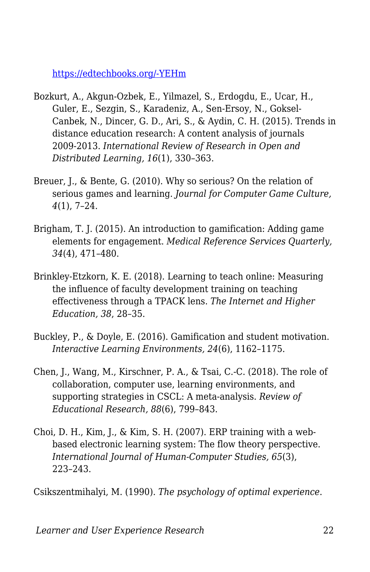[https://edtechbooks.org/-YEHm](https://www.learntechlib.org/p/209679/)

- Bozkurt, A., Akgun-Ozbek, E., Yilmazel, S., Erdogdu, E., Ucar, H., Guler, E., Sezgin, S., Karadeniz, A., Sen-Ersoy, N., Goksel-Canbek, N., Dincer, G. D., Ari, S., & Aydin, C. H. (2015). Trends in distance education research: A content analysis of journals 2009-2013. *International Review of Research in Open and Distributed Learning, 16*(1), 330–363.
- Breuer, J., & Bente, G. (2010). Why so serious? On the relation of serious games and learning. *Journal for Computer Game Culture, 4*(1), 7–24.
- Brigham, T. J. (2015). An introduction to gamification: Adding game elements for engagement. *Medical Reference Services Quarterly, 34*(4), 471–480.
- Brinkley-Etzkorn, K. E. (2018). Learning to teach online: Measuring the influence of faculty development training on teaching effectiveness through a TPACK lens. *The Internet and Higher Education, 38*, 28–35.
- Buckley, P., & Doyle, E. (2016). Gamification and student motivation. *Interactive Learning Environments, 24*(6), 1162–1175.
- Chen, J., Wang, M., Kirschner, P. A., & Tsai, C.-C. (2018). The role of collaboration, computer use, learning environments, and supporting strategies in CSCL: A meta-analysis. *Review of Educational Research, 88*(6), 799–843.
- Choi, D. H., Kim, J., & Kim, S. H. (2007). ERP training with a webbased electronic learning system: The flow theory perspective. *International Journal of Human-Computer Studies, 65*(3), 223–243.

Csikszentmihalyi, M. (1990). *The psychology of optimal experience*.

*Learner and User Experience Research* 22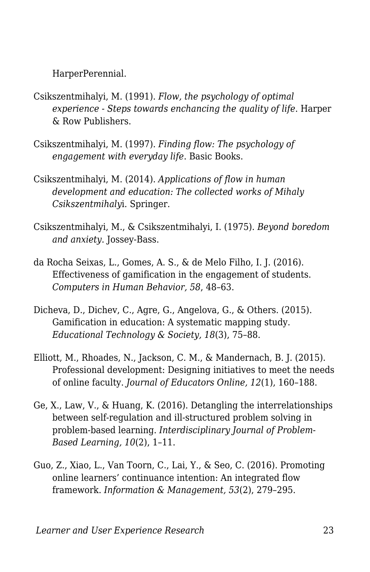HarperPerennial.

- Csikszentmihalyi, M. (1991). *Flow, the psychology of optimal experience - Steps towards enchancing the quality of life*. Harper & Row Publishers.
- Csikszentmihalyi, M. (1997). *Finding flow: The psychology of engagement with everyday life*. Basic Books.
- Csikszentmihalyi, M. (2014). *Applications of flow in human development and education: The collected works of Mihaly Csikszentmihaly*i. Springer.
- Csikszentmihalyi, M., & Csikszentmihalyi, I. (1975). *Beyond boredom and anxiety*. Jossey-Bass.
- da Rocha Seixas, L., Gomes, A. S., & de Melo Filho, I. J. (2016). Effectiveness of gamification in the engagement of students. *Computers in Human Behavior, 58*, 48–63.
- Dicheva, D., Dichev, C., Agre, G., Angelova, G., & Others. (2015). Gamification in education: A systematic mapping study. *Educational Technology & Society, 18*(3), 75–88.
- Elliott, M., Rhoades, N., Jackson, C. M., & Mandernach, B. J. (2015). Professional development: Designing initiatives to meet the needs of online faculty. *Journal of Educators Online, 12*(1), 160–188.
- Ge, X., Law, V., & Huang, K. (2016). Detangling the interrelationships between self-regulation and ill-structured problem solving in problem-based learning. *Interdisciplinary Journal of Problem-Based Learning, 10*(2), 1–11.
- Guo, Z., Xiao, L., Van Toorn, C., Lai, Y., & Seo, C. (2016). Promoting online learners' continuance intention: An integrated flow framework. *Information & Management, 53*(2), 279–295.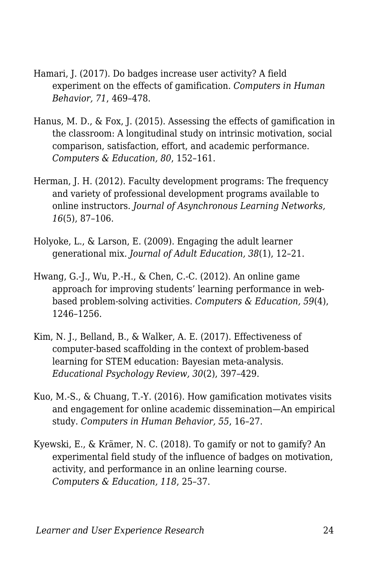- Hamari, J. (2017). Do badges increase user activity? A field experiment on the effects of gamification. *Computers in Human Behavior, 71*, 469–478.
- Hanus, M. D., & Fox, J. (2015). Assessing the effects of gamification in the classroom: A longitudinal study on intrinsic motivation, social comparison, satisfaction, effort, and academic performance. *Computers & Education, 80*, 152–161.
- Herman, J. H. (2012). Faculty development programs: The frequency and variety of professional development programs available to online instructors. *Journal of Asynchronous Learning Networks, 16*(5), 87–106.
- Holyoke, L., & Larson, E. (2009). Engaging the adult learner generational mix. *Journal of Adult Education, 38*(1), 12–21.
- Hwang, G.-J., Wu, P.-H., & Chen, C.-C. (2012). An online game approach for improving students' learning performance in webbased problem-solving activities. *Computers & Education, 59*(4), 1246–1256.
- Kim, N. J., Belland, B., & Walker, A. E. (2017). Effectiveness of computer-based scaffolding in the context of problem-based learning for STEM education: Bayesian meta-analysis. *Educational Psychology Review, 30*(2), 397–429.
- Kuo, M.-S., & Chuang, T.-Y. (2016). How gamification motivates visits and engagement for online academic dissemination—An empirical study. *Computers in Human Behavior, 55*, 16–27.
- Kyewski, E., & Krämer, N. C. (2018). To gamify or not to gamify? An experimental field study of the influence of badges on motivation, activity, and performance in an online learning course. *Computers & Education, 118*, 25–37.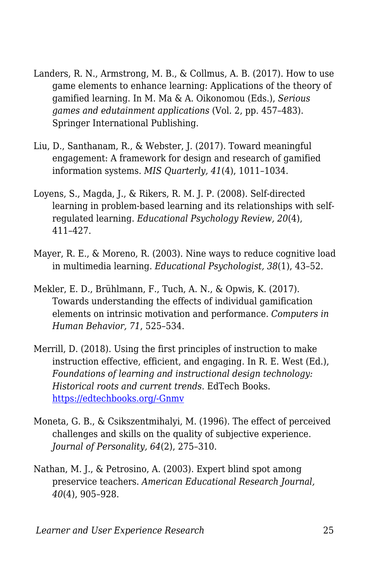- Landers, R. N., Armstrong, M. B., & Collmus, A. B. (2017). How to use game elements to enhance learning: Applications of the theory of gamified learning. In M. Ma & A. Oikonomou (Eds.), *Serious games and edutainment applications* (Vol. 2, pp. 457–483). Springer International Publishing.
- Liu, D., Santhanam, R., & Webster, J. (2017). Toward meaningful engagement: A framework for design and research of gamified information systems. *MIS Quarterly, 41*(4), 1011–1034.
- Loyens, S., Magda, J., & Rikers, R. M. J. P. (2008). Self-directed learning in problem-based learning and its relationships with selfregulated learning. *Educational Psychology Review, 20*(4), 411–427.
- Mayer, R. E., & Moreno, R. (2003). Nine ways to reduce cognitive load in multimedia learning. *Educational Psychologist, 38*(1), 43–52.
- Mekler, E. D., Brühlmann, F., Tuch, A. N., & Opwis, K. (2017). Towards understanding the effects of individual gamification elements on intrinsic motivation and performance. *Computers in Human Behavior, 71*, 525–534.
- Merrill, D. (2018). Using the first principles of instruction to make instruction effective, efficient, and engaging. In R. E. West (Ed.), *Foundations of learning and instructional design technology: Historical roots and current trends*. EdTech Books. [https://edtechbooks.org/-Gnmv](https://edtechbooks.org/lidtfoundations/using_the_first_principles_of_instruction)
- Moneta, G. B., & Csikszentmihalyi, M. (1996). The effect of perceived challenges and skills on the quality of subjective experience. *Journal of Personality, 64*(2), 275–310.
- Nathan, M. J., & Petrosino, A. (2003). Expert blind spot among preservice teachers. *American Educational Research Journal, 40*(4), 905–928.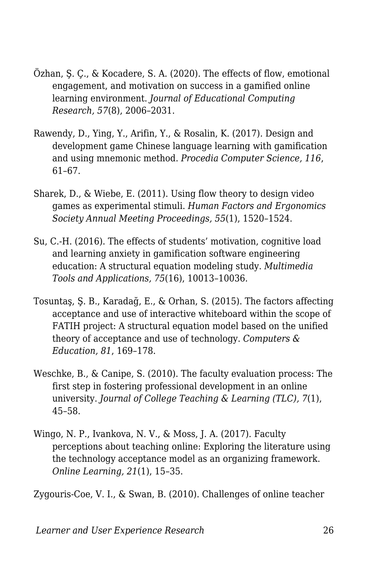- Özhan, Ş. Ç., & Kocadere, S. A. (2020). The effects of flow, emotional engagement, and motivation on success in a gamified online learning environment. *Journal of Educational Computing Research, 57*(8), 2006–2031.
- Rawendy, D., Ying, Y., Arifin, Y., & Rosalin, K. (2017). Design and development game Chinese language learning with gamification and using mnemonic method. *Procedia Computer Science, 116*, 61–67.
- Sharek, D., & Wiebe, E. (2011). Using flow theory to design video games as experimental stimuli. *Human Factors and Ergonomics Society Annual Meeting Proceedings, 55*(1), 1520–1524.
- Su, C.-H. (2016). The effects of students' motivation, cognitive load and learning anxiety in gamification software engineering education: A structural equation modeling study. *Multimedia Tools and Applications, 75*(16), 10013–10036.
- Tosuntaş, Ş. B., Karadağ, E., & Orhan, S. (2015). The factors affecting acceptance and use of interactive whiteboard within the scope of FATIH project: A structural equation model based on the unified theory of acceptance and use of technology. *Computers & Education, 81*, 169–178.
- Weschke, B., & Canipe, S. (2010). The faculty evaluation process: The first step in fostering professional development in an online university. *Journal of College Teaching & Learning (TLC), 7*(1), 45–58.
- Wingo, N. P., Ivankova, N. V., & Moss, J. A. (2017). Faculty perceptions about teaching online: Exploring the literature using the technology acceptance model as an organizing framework. *Online Learning, 21*(1), 15–35.

Zygouris-Coe, V. I., & Swan, B. (2010). Challenges of online teacher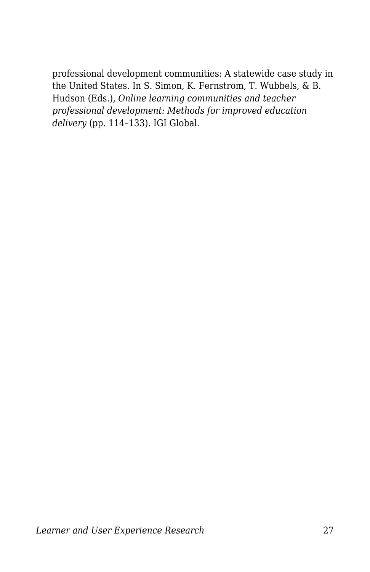professional development communities: A statewide case study in the United States. In S. Simon, K. Fernstrom, T. Wubbels, & B. Hudson (Eds.), *Online learning communities and teacher professional development: Methods for improved education delivery* (pp. 114–133). IGI Global.